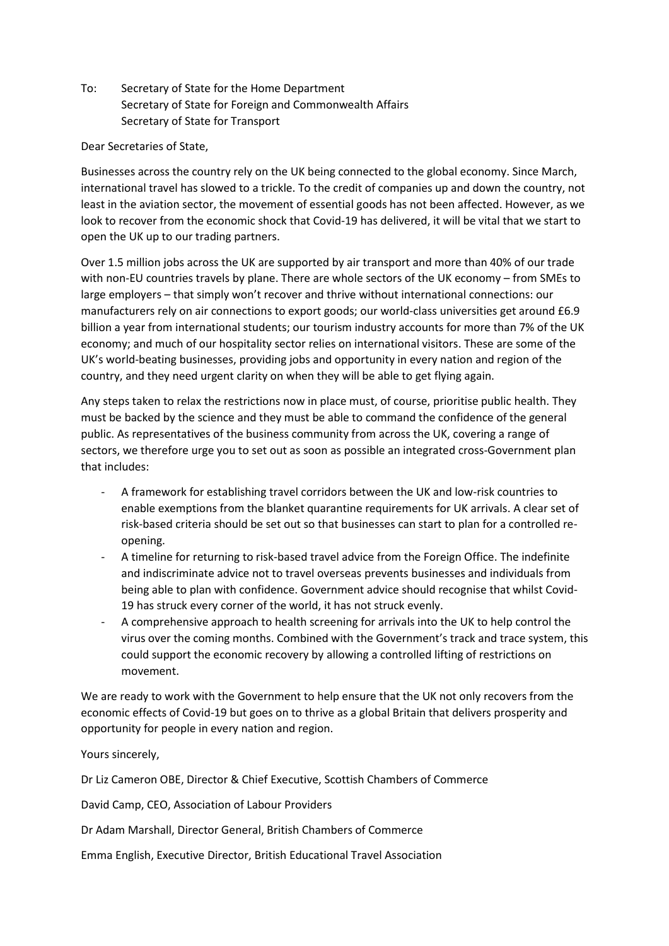To: Secretary of State for the Home Department Secretary of State for Foreign and Commonwealth Affairs Secretary of State for Transport

## Dear Secretaries of State,

Businesses across the country rely on the UK being connected to the global economy. Since March, international travel has slowed to a trickle. To the credit of companies up and down the country, not least in the aviation sector, the movement of essential goods has not been affected. However, as we look to recover from the economic shock that Covid-19 has delivered, it will be vital that we start to open the UK up to our trading partners.

Over 1.5 million jobs across the UK are supported by air transport and more than 40% of our trade with non-EU countries travels by plane. There are whole sectors of the UK economy – from SMEs to large employers – that simply won't recover and thrive without international connections: our manufacturers rely on air connections to export goods; our world-class universities get around £6.9 billion a year from international students; our tourism industry accounts for more than 7% of the UK economy; and much of our hospitality sector relies on international visitors. These are some of the UK's world-beating businesses, providing jobs and opportunity in every nation and region of the country, and they need urgent clarity on when they will be able to get flying again.

Any steps taken to relax the restrictions now in place must, of course, prioritise public health. They must be backed by the science and they must be able to command the confidence of the general public. As representatives of the business community from across the UK, covering a range of sectors, we therefore urge you to set out as soon as possible an integrated cross-Government plan that includes:

- A framework for establishing travel corridors between the UK and low-risk countries to enable exemptions from the blanket quarantine requirements for UK arrivals. A clear set of risk-based criteria should be set out so that businesses can start to plan for a controlled reopening.
- A timeline for returning to risk-based travel advice from the Foreign Office. The indefinite and indiscriminate advice not to travel overseas prevents businesses and individuals from being able to plan with confidence. Government advice should recognise that whilst Covid-19 has struck every corner of the world, it has not struck evenly.
- A comprehensive approach to health screening for arrivals into the UK to help control the virus over the coming months. Combined with the Government's track and trace system, this could support the economic recovery by allowing a controlled lifting of restrictions on movement.

We are ready to work with the Government to help ensure that the UK not only recovers from the economic effects of Covid-19 but goes on to thrive as a global Britain that delivers prosperity and opportunity for people in every nation and region.

## Yours sincerely,

Dr Liz Cameron OBE, Director & Chief Executive, Scottish Chambers of Commerce

David Camp, CEO, Association of Labour Providers

Dr Adam Marshall, Director General, British Chambers of Commerce

Emma English, Executive Director, British Educational Travel Association